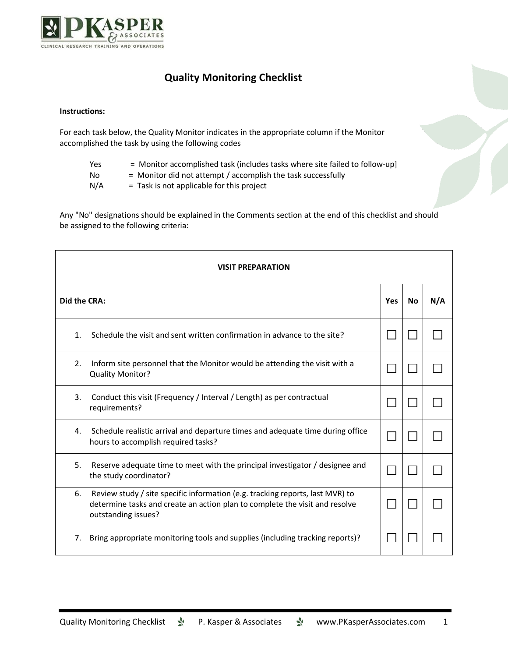

## **Quality Monitoring Checklist**

## **Instructions:**

For each task below, the Quality Monitor indicates in the appropriate column if the Monitor accomplished the task by using the following codes

- Yes = Monitor accomplished task (includes tasks where site failed to follow-up]
- No = Monitor did not attempt / accomplish the task successfully

 $N/A$  = Task is not applicable for this project

Any "No" designations should be explained in the Comments section at the end of this checklist and should be assigned to the following criteria:

| <b>VISIT PREPARATION</b> |                                                                                                                                                                                     |     |           |     |  |  |
|--------------------------|-------------------------------------------------------------------------------------------------------------------------------------------------------------------------------------|-----|-----------|-----|--|--|
| Did the CRA:             |                                                                                                                                                                                     | Yes | <b>No</b> | N/A |  |  |
| 1.                       | Schedule the visit and sent written confirmation in advance to the site?                                                                                                            |     |           |     |  |  |
| 2.                       | Inform site personnel that the Monitor would be attending the visit with a<br>Quality Monitor?                                                                                      |     |           |     |  |  |
| 3.                       | Conduct this visit (Frequency / Interval / Length) as per contractual<br>requirements?                                                                                              |     |           |     |  |  |
| 4.                       | Schedule realistic arrival and departure times and adequate time during office<br>hours to accomplish required tasks?                                                               |     |           |     |  |  |
| 5.                       | Reserve adequate time to meet with the principal investigator / designee and<br>the study coordinator?                                                                              |     |           |     |  |  |
| 6.                       | Review study / site specific information (e.g. tracking reports, last MVR) to<br>determine tasks and create an action plan to complete the visit and resolve<br>outstanding issues? |     |           |     |  |  |
| 7.                       | Bring appropriate monitoring tools and supplies (including tracking reports)?                                                                                                       |     |           |     |  |  |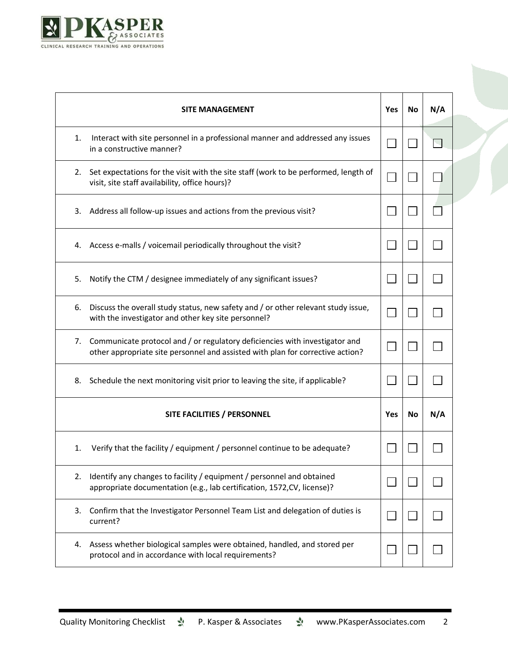

|    | <b>SITE MANAGEMENT</b>                                                                                                                                        | Yes | No | N/A |
|----|---------------------------------------------------------------------------------------------------------------------------------------------------------------|-----|----|-----|
| 1. | Interact with site personnel in a professional manner and addressed any issues<br>in a constructive manner?                                                   |     |    |     |
| 2. | Set expectations for the visit with the site staff (work to be performed, length of<br>visit, site staff availability, office hours)?                         |     |    |     |
| 3. | Address all follow-up issues and actions from the previous visit?                                                                                             |     |    |     |
| 4. | Access e-malls / voicemail periodically throughout the visit?                                                                                                 |     |    |     |
| 5. | Notify the CTM / designee immediately of any significant issues?                                                                                              |     |    |     |
| 6. | Discuss the overall study status, new safety and / or other relevant study issue,<br>with the investigator and other key site personnel?                      |     |    |     |
| 7. | Communicate protocol and / or regulatory deficiencies with investigator and<br>other appropriate site personnel and assisted with plan for corrective action? |     |    |     |
| 8. | Schedule the next monitoring visit prior to leaving the site, if applicable?                                                                                  |     |    |     |
|    | SITE FACILITIES / PERSONNEL                                                                                                                                   | Yes | No | N/A |
| 1. | Verify that the facility / equipment / personnel continue to be adequate?                                                                                     |     |    |     |
| 2. | Identify any changes to facility / equipment / personnel and obtained<br>appropriate documentation (e.g., lab certification, 1572, CV, license)?              |     |    |     |
| 3. | Confirm that the Investigator Personnel Team List and delegation of duties is<br>current?                                                                     |     |    |     |
| 4. | Assess whether biological samples were obtained, handled, and stored per<br>protocol and in accordance with local requirements?                               |     |    |     |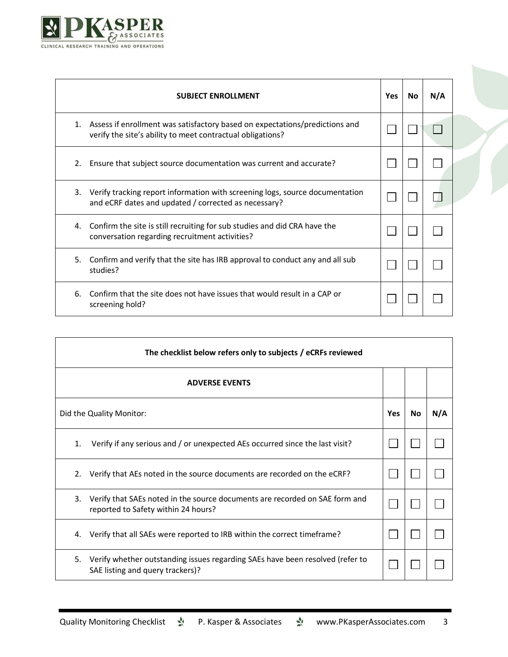

|    | <b>SUBJECT ENROLLMENT</b>                                                                                                                 | <b>Yes</b> | No. | N/A |  |
|----|-------------------------------------------------------------------------------------------------------------------------------------------|------------|-----|-----|--|
| 1. | Assess if enrollment was satisfactory based on expectations/predictions and<br>verify the site's ability to meet contractual obligations? |            |     |     |  |
| 2. | Ensure that subject source documentation was current and accurate?                                                                        |            |     |     |  |
| 3. | Verify tracking report information with screening logs, source documentation<br>and eCRF dates and updated / corrected as necessary?      |            |     |     |  |
| 4. | Confirm the site is still recruiting for sub studies and did CRA have the<br>conversation regarding recruitment activities?               |            |     |     |  |
| 5. | Confirm and verify that the site has IRB approval to conduct any and all sub<br>studies?                                                  |            |     |     |  |
| 6. | Confirm that the site does not have issues that would result in a CAP or<br>screening hold?                                               |            |     |     |  |

| The checklist below refers only to subjects / eCRFs reviewed |                                                                                                                    |            |    |     |  |  |
|--------------------------------------------------------------|--------------------------------------------------------------------------------------------------------------------|------------|----|-----|--|--|
|                                                              | <b>ADVERSE EVENTS</b>                                                                                              |            |    |     |  |  |
|                                                              | Did the Quality Monitor:                                                                                           | <b>Yes</b> | No | N/A |  |  |
| 1.                                                           | Verify if any serious and / or unexpected AEs occurred since the last visit?                                       |            |    |     |  |  |
| 2.                                                           | Verify that AEs noted in the source documents are recorded on the eCRF?                                            |            |    |     |  |  |
| 3.                                                           | Verify that SAEs noted in the source documents are recorded on SAE form and<br>reported to Safety within 24 hours? |            |    |     |  |  |
| 4.                                                           | Verify that all SAEs were reported to IRB within the correct timeframe?                                            |            |    |     |  |  |
| 5.                                                           | Verify whether outstanding issues regarding SAEs have been resolved (refer to<br>SAE listing and query trackers)?  |            |    |     |  |  |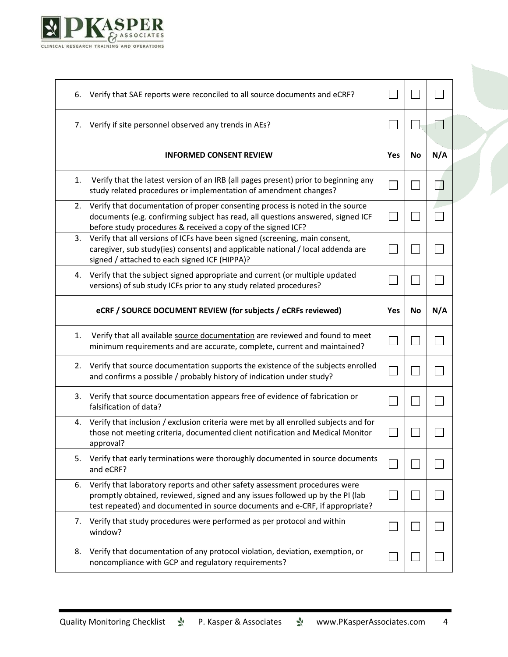

| 6. | Verify that SAE reports were reconciled to all source documents and eCRF?                                                                                                                                                                   |     |           |     |  |
|----|---------------------------------------------------------------------------------------------------------------------------------------------------------------------------------------------------------------------------------------------|-----|-----------|-----|--|
|    | 7. Verify if site personnel observed any trends in AEs?                                                                                                                                                                                     |     |           | m.  |  |
|    | <b>INFORMED CONSENT REVIEW</b>                                                                                                                                                                                                              | Yes | <b>No</b> | N/A |  |
| 1. | Verify that the latest version of an IRB (all pages present) prior to beginning any<br>study related procedures or implementation of amendment changes?                                                                                     |     |           |     |  |
| 2. | Verify that documentation of proper consenting process is noted in the source<br>documents (e.g. confirming subject has read, all questions answered, signed ICF<br>before study procedures & received a copy of the signed ICF?            |     |           |     |  |
|    | 3. Verify that all versions of ICFs have been signed (screening, main consent,<br>caregiver, sub study(ies) consents) and applicable national / local addenda are<br>signed / attached to each signed ICF (HIPPA)?                          |     |           |     |  |
| 4. | Verify that the subject signed appropriate and current (or multiple updated<br>versions) of sub study ICFs prior to any study related procedures?                                                                                           |     |           |     |  |
|    | eCRF / SOURCE DOCUMENT REVIEW (for subjects / eCRFs reviewed)                                                                                                                                                                               | Yes | <b>No</b> | N/A |  |
| 1. | Verify that all available source documentation are reviewed and found to meet<br>minimum requirements and are accurate, complete, current and maintained?                                                                                   |     |           |     |  |
|    | 2. Verify that source documentation supports the existence of the subjects enrolled<br>and confirms a possible / probably history of indication under study?                                                                                |     |           |     |  |
|    | 3. Verify that source documentation appears free of evidence of fabrication or<br>falsification of data?                                                                                                                                    |     |           |     |  |
| 4. | Verify that inclusion / exclusion criteria were met by all enrolled subjects and for<br>those not meeting criteria, documented client notification and Medical Monitor<br>approval?                                                         |     |           |     |  |
| 5. | Verify that early terminations were thoroughly documented in source documents<br>and eCRF?                                                                                                                                                  |     |           |     |  |
| 6. | Verify that laboratory reports and other safety assessment procedures were<br>promptly obtained, reviewed, signed and any issues followed up by the PI (lab<br>test repeated) and documented in source documents and e-CRF, if appropriate? |     |           |     |  |
| 7. | Verify that study procedures were performed as per protocol and within<br>window?                                                                                                                                                           |     |           |     |  |
| 8. | Verify that documentation of any protocol violation, deviation, exemption, or<br>noncompliance with GCP and regulatory requirements?                                                                                                        |     |           |     |  |
|    |                                                                                                                                                                                                                                             |     |           |     |  |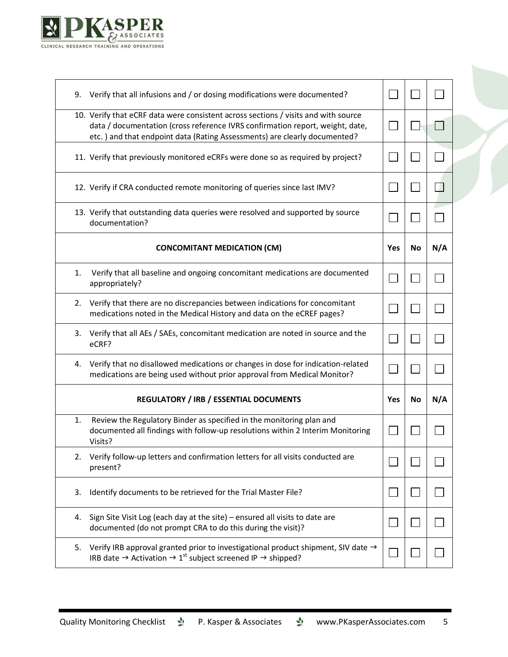

| 9. | Verify that all infusions and / or dosing modifications were documented?                                                                                                                                                                          |     |    |     |
|----|---------------------------------------------------------------------------------------------------------------------------------------------------------------------------------------------------------------------------------------------------|-----|----|-----|
|    | 10. Verify that eCRF data were consistent across sections / visits and with source<br>data / documentation (cross reference IVRS confirmation report, weight, date,<br>etc. ) and that endpoint data (Rating Assessments) are clearly documented? |     |    |     |
|    | 11. Verify that previously monitored eCRFs were done so as required by project?                                                                                                                                                                   |     |    |     |
|    | 12. Verify if CRA conducted remote monitoring of queries since last IMV?                                                                                                                                                                          |     |    | J.  |
|    | 13. Verify that outstanding data queries were resolved and supported by source<br>documentation?                                                                                                                                                  |     |    |     |
|    | <b>CONCOMITANT MEDICATION (CM)</b>                                                                                                                                                                                                                | Yes | No | N/A |
| 1. | Verify that all baseline and ongoing concomitant medications are documented<br>appropriately?                                                                                                                                                     |     |    |     |
| 2. | Verify that there are no discrepancies between indications for concomitant<br>medications noted in the Medical History and data on the eCREF pages?                                                                                               |     |    |     |
| 3. | Verify that all AEs / SAEs, concomitant medication are noted in source and the<br>eCRF?                                                                                                                                                           |     |    |     |
| 4. | Verify that no disallowed medications or changes in dose for indication-related<br>medications are being used without prior approval from Medical Monitor?                                                                                        |     |    |     |
|    | <b>REGULATORY / IRB / ESSENTIAL DOCUMENTS</b>                                                                                                                                                                                                     | Yes | No | N/A |
| 1. | Review the Regulatory Binder as specified in the monitoring plan and<br>documented all findings with follow-up resolutions within 2 Interim Monitoring<br>Visits?                                                                                 |     |    |     |
| 2. | Verify follow-up letters and confirmation letters for all visits conducted are<br>present?                                                                                                                                                        |     |    |     |
| 3. | Identify documents to be retrieved for the Trial Master File?                                                                                                                                                                                     |     |    |     |
| 4. | Sign Site Visit Log (each day at the site) - ensured all visits to date are<br>documented (do not prompt CRA to do this during the visit)?                                                                                                        |     |    |     |
| 5. | Verify IRB approval granted prior to investigational product shipment, SIV date →<br>IRB date $\rightarrow$ Activation $\rightarrow$ 1 <sup>st</sup> subject screened IP $\rightarrow$ shipped?                                                   |     |    |     |